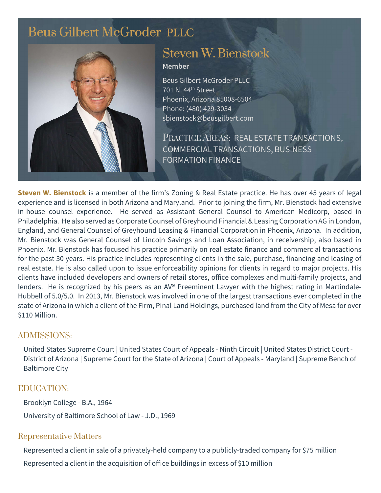# [Beus Gilbert McGroder](https://beusgilbert.com/) PLLC



# [Steven W. Bienstock](https://beusgilbert.com/team/steve-bienstock/)

#### Member

Beus Gilbert McGroder PLLC 701 N. 44th Street Phoenix, Arizona 85008-6504 Phone: (480) 429-3034 sbienstock@beusgilbert.com

PRACTICE AREAS: REAL ESTATE TRANSACTIONS, COMMERCIAL TRANSACTIONS, BUSINESS **FORMATION FINANCE** 

Steven W. Bienstock is a member of the firm's Zoning & Real Estate practice. He has over 45 years of legal experience and is licensed in both Arizona and Maryland. Prior to joining the firm, Mr. Bienstock had extensive in-house counsel experience. He served as Assistant General Counsel to American Medicorp, based in Philadelphia. He also served as Corporate Counsel of Greyhound Financial & Leasing Corporation AG in London, England, and General Counsel of Greyhound Leasing & Financial Corporation in Phoenix, Arizona. In addition, Mr. Bienstock was General Counsel of Lincoln Savings and Loan Association, in receivership, also based in Phoenix. Mr. Bienstock has focused his practice primarily on real estate finance and commercial transactions for the past 30 years. His practice includes representing clients in the sale, purchase, financing and leasing of real estate. He is also called upon to issue enforceability opinions for clients in regard to major projects. His clients have included developers and owners of retail stores, office complexes and multi-family projects, and lenders. He is recognized by his peers as an AV® Preeminent Lawyer with the highest rating in Martindale-Hubbell of 5.0/5.0. In 2013, Mr. Bienstock was involved in one of the largest transactions ever completed in the state of Arizona in which a client of the Firm, Pinal Land Holdings, purchased land from the City of Mesa for over \$110 Million.

### ADMISSIONS:

United States Supreme Court | United States Court of Appeals - Ninth Circuit | United States District Court - District of Arizona | Supreme Court for the State of Arizona | Court of Appeals - Maryland | Supreme Bench of Baltimore City

### EDUCATION:

Brooklyn College - B.A., 1964 University of Baltimore School of Law - J.D., 1969

### Representative Matters

Represented a client in sale of a privately-held company to a publicly-traded company for \$75 million Represented a client in the acquisition of office buildings in excess of \$10 million